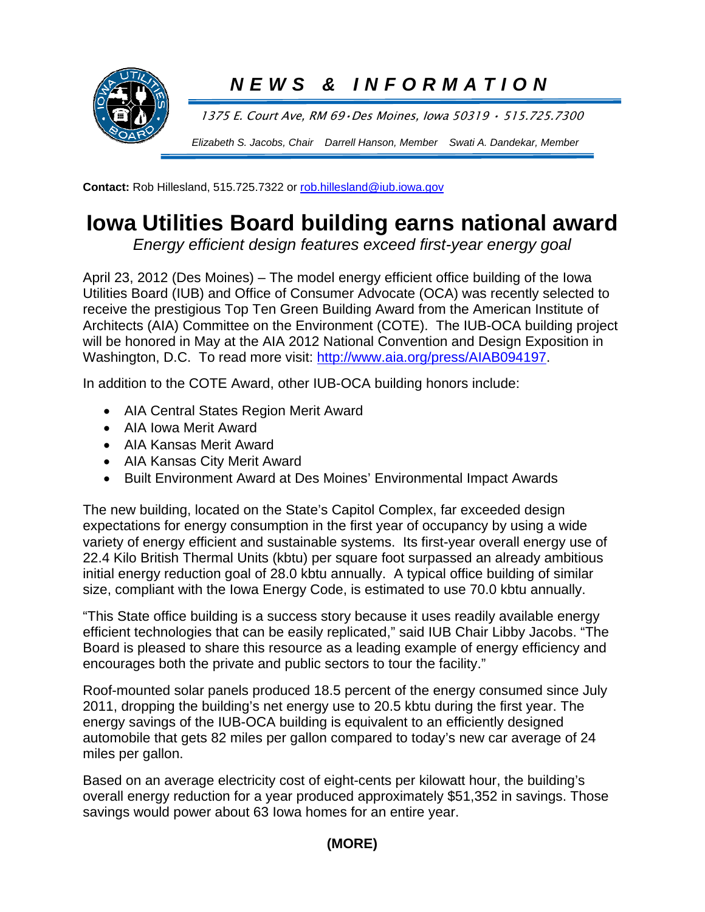

## *NEWS & INFORMATION*

1375 E. Court Ave, RM 69•Des Moines, Iowa 50319 • 515.725.7300

*Elizabeth S. Jacobs, Chair Darrell Hanson, Member Swati A. Dandekar, Member*

**Contact:** Rob Hillesland, 515.725.7322 or rob.hillesland@iub.iowa.gov

## **Iowa Utilities Board building earns national award**

*Energy efficient design features exceed first-year energy goal* 

April 23, 2012 (Des Moines) – The model energy efficient office building of the Iowa Utilities Board (IUB) and Office of Consumer Advocate (OCA) was recently selected to receive the prestigious Top Ten Green Building Award from the American Institute of Architects (AIA) Committee on the Environment (COTE). The IUB-OCA building project will be honored in May at the AIA 2012 National Convention and Design Exposition in Washington, D.C. To read more visit: http://www.aia.org/press/AIAB094197.

In addition to the COTE Award, other IUB-OCA building honors include:

- AIA Central States Region Merit Award
- AIA Iowa Merit Award
- AIA Kansas Merit Award
- AIA Kansas City Merit Award
- Built Environment Award at Des Moines' Environmental Impact Awards

The new building, located on the State's Capitol Complex, far exceeded design expectations for energy consumption in the first year of occupancy by using a wide variety of energy efficient and sustainable systems. Its first-year overall energy use of 22.4 Kilo British Thermal Units (kbtu) per square foot surpassed an already ambitious initial energy reduction goal of 28.0 kbtu annually. A typical office building of similar size, compliant with the Iowa Energy Code, is estimated to use 70.0 kbtu annually.

"This State office building is a success story because it uses readily available energy efficient technologies that can be easily replicated," said IUB Chair Libby Jacobs. "The Board is pleased to share this resource as a leading example of energy efficiency and encourages both the private and public sectors to tour the facility."

Roof-mounted solar panels produced 18.5 percent of the energy consumed since July 2011, dropping the building's net energy use to 20.5 kbtu during the first year. The energy savings of the IUB-OCA building is equivalent to an efficiently designed automobile that gets 82 miles per gallon compared to today's new car average of 24 miles per gallon.

Based on an average electricity cost of eight-cents per kilowatt hour, the building's overall energy reduction for a year produced approximately \$51,352 in savings. Those savings would power about 63 Iowa homes for an entire year.

## **(MORE)**